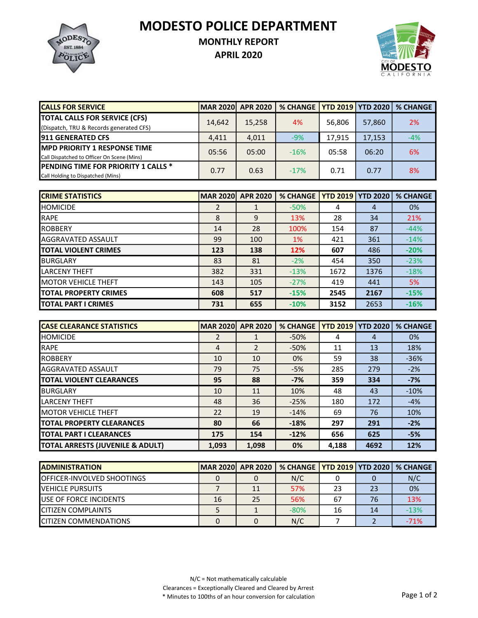MODESTO POLICE DEPARTMENT



## MONTHLY REPORT

APRIL 2020



| <b>CALLS FOR SERVICE</b>                   | <b>MAR 2020</b> | <b>APR 2020</b> | % CHANGE   YTD 2019   YTD 2020   % CHANGE |        |        |       |
|--------------------------------------------|-----------------|-----------------|-------------------------------------------|--------|--------|-------|
| <b>TOTAL CALLS FOR SERVICE (CFS)</b>       | 14,642          | 15,258          | 4%                                        | 56.806 | 57,860 | 2%    |
| (Dispatch, TRU & Records generated CFS)    |                 |                 |                                           |        |        |       |
| <b>911 GENERATED CFS</b>                   | 4,411           | 4,011           | $-9%$                                     | 17.915 | 17,153 | $-4%$ |
| <b>MPD PRIORITY 1 RESPONSE TIME</b>        | 05:56           | 05:00           | $-16%$                                    | 05:58  | 06:20  | 6%    |
| Call Dispatched to Officer On Scene (Mins) |                 |                 |                                           |        |        |       |
| <b>PENDING TIME FOR PRIORITY 1 CALLS *</b> | 0.77            | 0.63            | $-17%$                                    | 0.71   | 0.77   | 8%    |
| Call Holding to Dispatched (Mins)          |                 |                 |                                           |        |        |       |

| <b>CRIME STATISTICS</b>       | <b>MAR 2020</b> | <b>APR 2020</b> | <b>% CHANGE</b> |      | <b>YTD 2019   YTD 2020</b> | <b>% CHANGE</b> |
|-------------------------------|-----------------|-----------------|-----------------|------|----------------------------|-----------------|
| <b>I</b> HOMICIDE             | 2               |                 | $-50%$          | 4    | 4                          | 0%              |
| <b>RAPE</b>                   | 8               | 9               | 13%             | 28   | 34                         | 21%             |
| <b>IROBBERY</b>               | 14              | 28              | 100%            | 154  | 87                         | $-44%$          |
| <b>AGGRAVATED ASSAULT</b>     | 99              | 100             | 1%              | 421  | 361                        | $-14%$          |
| <b>ITOTAL VIOLENT CRIMES</b>  | 123             | 138             | 12%             | 607  | 486                        | $-20%$          |
| IBURGLARY                     | 83              | 81              | $-2%$           | 454  | 350                        | $-23%$          |
| <b>LARCENY THEFT</b>          | 382             | 331             | $-13%$          | 1672 | 1376                       | $-18%$          |
| <b>IMOTOR VEHICLE THEFT</b>   | 143             | 105             | $-27%$          | 419  | 441                        | 5%              |
| <b>ITOTAL PROPERTY CRIMES</b> | 608             | 517             | $-15%$          | 2545 | 2167                       | $-15%$          |
| <b>ITOTAL PART I CRIMES</b>   | 731             | 655             | $-10%$          | 3152 | 2653                       | $-16%$          |

| <b>ICASE CLEARANCE STATISTICS</b> | <b>MAR 2020</b> | <b>APR 2020</b> | <b>% CHANGE</b> | <b>YTD 2019   YTD 2020</b> |      | <b>% CHANGE</b> |
|-----------------------------------|-----------------|-----------------|-----------------|----------------------------|------|-----------------|
| <b>HOMICIDE</b>                   | 2               |                 | $-50%$          | 4                          | 4    | 0%              |
| <b>RAPE</b>                       | 4               | $\overline{2}$  | $-50%$          | 11                         | 13   | 18%             |
| <b>IROBBERY</b>                   | 10              | 10              | 0%              | 59                         | 38   | $-36%$          |
| <b>AGGRAVATED ASSAULT</b>         | 79              | 75              | $-5%$           | 285                        | 279  | $-2%$           |
| <b>TOTAL VIOLENT CLEARANCES</b>   | 95              | 88              | $-7%$           | 359                        | 334  | $-7%$           |
| <b>I</b> BURGLARY                 | 10              | 11              | 10%             | 48                         | 43   | $-10%$          |
| <b>LARCENY THEFT</b>              | 48              | 36              | $-25%$          | 180                        | 172  | $-4%$           |
| <b>IMOTOR VEHICLE THEFT</b>       | 22              | 19              | $-14%$          | 69                         | 76   | 10%             |
| <b>ITOTAL PROPERTY CLEARANCES</b> | 80              | 66              | $-18%$          | 297                        | 291  | $-2%$           |
| <b>ITOTAL PART I CLEARANCES</b>   | 175             | 154             | $-12%$          | 656                        | 625  | $-5%$           |
| TOTAL ARRESTS (JUVENILE & ADULT)  | 1,093           | 1,098           | 0%              | 4,188                      | 4692 | 12%             |

| <b>IADMINISTRATION</b>             | MAR 2020 APR 2020 |    | % CHANGE   YTD 2019   YTD 2020   % CHANGE |    |    |        |
|------------------------------------|-------------------|----|-------------------------------------------|----|----|--------|
| <b>IOFFICER-INVOLVED SHOOTINGS</b> |                   |    | N/C                                       |    |    | N/C    |
| <b>IVEHICLE PURSUITS</b>           |                   | 11 | 57%                                       | 23 | 23 | 0%     |
| <b>IUSE OF FORCE INCIDENTS</b>     | 16                | 25 | 56%                                       | 67 | 76 | 13%    |
| <b>ICITIZEN COMPLAINTS</b>         |                   |    | $-80%$                                    | 16 | 14 | $-13%$ |
| <b>ICITIZEN COMMENDATIONS</b>      |                   |    | N/C                                       |    |    | $-71%$ |